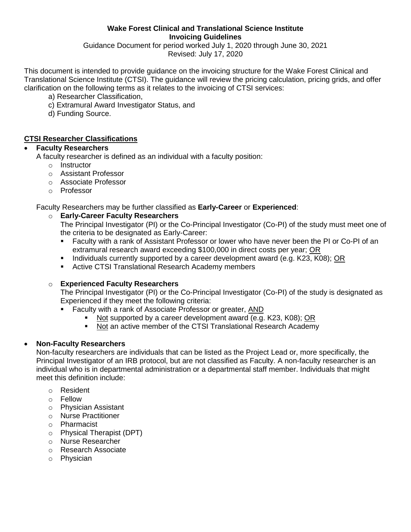#### **Wake Forest Clinical and Translational Science Institute Invoicing Guidelines**

Guidance Document for period worked July 1, 2020 through June 30, 2021 Revised: July 17, 2020

This document is intended to provide guidance on the invoicing structure for the Wake Forest Clinical and Translational Science Institute (CTSI). The guidance will review the pricing calculation, pricing grids, and offer clarification on the following terms as it relates to the invoicing of CTSI services:

- a) Researcher Classification,
- c) Extramural Award Investigator Status, and
- d) Funding Source.

### **CTSI Researcher Classifications**

### **Faculty Researchers**

A faculty researcher is defined as an individual with a faculty position:

- o Instructor
- o Assistant Professor
- o Associate Professor
- o Professor

Faculty Researchers may be further classified as **Early-Career** or **Experienced**:

## o **Early-Career Faculty Researchers**

The Principal Investigator (PI) or the Co-Principal Investigator (Co-PI) of the study must meet one of the criteria to be designated as Early-Career:

- Faculty with a rank of Assistant Professor or lower who have never been the PI or Co-PI of an extramural research award exceeding \$100,000 in direct costs per year; OR
- Individuals currently supported by a career development award (e.g. K23, K08); OR
- **EXECTS:** Translational Research Academy members

#### o **Experienced Faculty Researchers**

The Principal Investigator (PI) or the Co-Principal Investigator (Co-PI) of the study is designated as Experienced if they meet the following criteria:

- Faculty with a rank of Associate Professor or greater, AND
	- Not supported by a career development award (e.g. K23, K08); OR
	- Not an active member of the CTSI Translational Research Academy

## **Non-Faculty Researchers**

Non-faculty researchers are individuals that can be listed as the Project Lead or, more specifically, the Principal Investigator of an IRB protocol, but are not classified as Faculty. A non-faculty researcher is an individual who is in departmental administration or a departmental staff member. Individuals that might meet this definition include:

- o Resident
- o Fellow
- o Physician Assistant
- o Nurse Practitioner
- o Pharmacist
- o Physical Therapist (DPT)
- o Nurse Researcher
- o Research Associate
- o Physician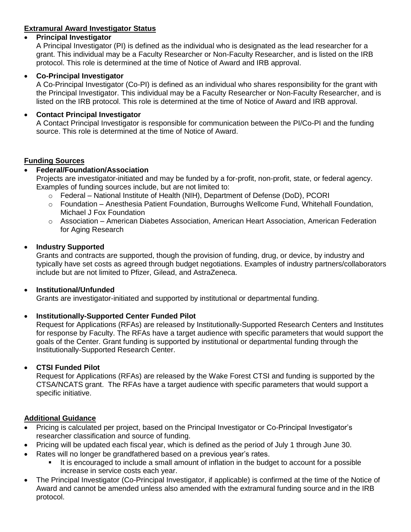## **Extramural Award Investigator Status**

### **Principal Investigator**

A Principal Investigator (PI) is defined as the individual who is designated as the lead researcher for a grant. This individual may be a Faculty Researcher or Non-Faculty Researcher, and is listed on the IRB protocol. This role is determined at the time of Notice of Award and IRB approval.

### **Co-Principal Investigator**

A Co-Principal Investigator (Co-PI) is defined as an individual who shares responsibility for the grant with the Principal Investigator. This individual may be a Faculty Researcher or Non-Faculty Researcher, and is listed on the IRB protocol. This role is determined at the time of Notice of Award and IRB approval.

### **Contact Principal Investigator**

A Contact Principal Investigator is responsible for communication between the PI/Co-PI and the funding source. This role is determined at the time of Notice of Award.

### **Funding Sources**

## **Federal/Foundation/Association**

Projects are investigator-initiated and may be funded by a for-profit, non-profit, state, or federal agency. Examples of funding sources include, but are not limited to:

- o Federal National Institute of Health (NIH), Department of Defense (DoD), PCORI
- o Foundation Anesthesia Patient Foundation, Burroughs Wellcome Fund, Whitehall Foundation, Michael J Fox Foundation
- o Association American Diabetes Association, American Heart Association, American Federation for Aging Research

### **Industry Supported**

Grants and contracts are supported, though the provision of funding, drug, or device, by industry and typically have set costs as agreed through budget negotiations. Examples of industry partners/collaborators include but are not limited to Pfizer, Gilead, and AstraZeneca.

#### **Institutional/Unfunded**

Grants are investigator-initiated and supported by institutional or departmental funding.

## **Institutionally-Supported Center Funded Pilot**

Request for Applications (RFAs) are released by Institutionally-Supported Research Centers and Institutes for response by Faculty. The RFAs have a target audience with specific parameters that would support the goals of the Center. Grant funding is supported by institutional or departmental funding through the Institutionally-Supported Research Center.

#### **CTSI Funded Pilot**

Request for Applications (RFAs) are released by the Wake Forest CTSI and funding is supported by the CTSA/NCATS grant. The RFAs have a target audience with specific parameters that would support a specific initiative.

## **Additional Guidance**

- Pricing is calculated per project, based on the Principal Investigator or Co-Principal Investigator's researcher classification and source of funding.
- Pricing will be updated each fiscal year, which is defined as the period of July 1 through June 30.
- Rates will no longer be grandfathered based on a previous year's rates.
	- It is encouraged to include a small amount of inflation in the budget to account for a possible increase in service costs each year.
- The Principal Investigator (Co-Principal Investigator, if applicable) is confirmed at the time of the Notice of Award and cannot be amended unless also amended with the extramural funding source and in the IRB protocol.